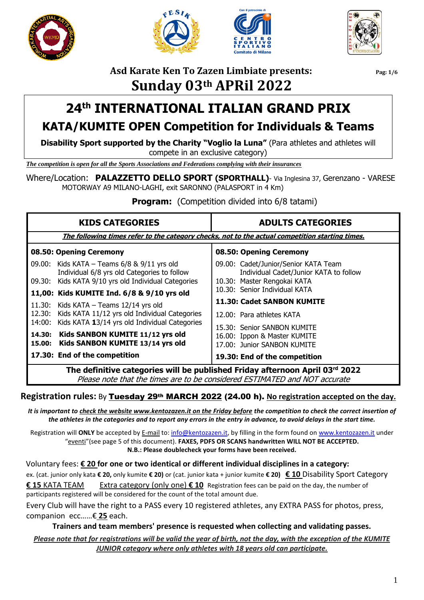







## **Asd Karate Ken To Zazen Limbiate presents: Pag: 1/6 Sunday 03th APRil 2022**

# **24 th INTERNATIONAL ITALIAN GRAND PRIX KATA/KUMITE OPEN Competition for Individuals & Teams**

**Disability Sport supported by the Charity "Voglio la Luna"** (Para athletes and athletes will compete in an exclusive category)

*The competition is open for all the Sports Associations and Federations complying with their insurances*

Where/Location: **PALAZZETTO DELLO SPORT (SPORTHALL)**- Via Inglesina 37, Gerenzano - VARESE MOTORWAY A9 MILANO-LAGHI, exit SARONNO (PALASPORT in 4 Km)

**Program:** (Competition divided into 6/8 tatami)

| <b>KIDS CATEGORIES</b>                                                                                                                                           | <b>ADULTS CATEGORIES</b>                                                                                      |  |  |  |  |  |  |  |  |
|------------------------------------------------------------------------------------------------------------------------------------------------------------------|---------------------------------------------------------------------------------------------------------------|--|--|--|--|--|--|--|--|
|                                                                                                                                                                  | The following times refer to the category checks, not to the actual competition starting times.               |  |  |  |  |  |  |  |  |
| 08.50: Opening Ceremony                                                                                                                                          | 08.50: Opening Ceremony                                                                                       |  |  |  |  |  |  |  |  |
| 09.00: Kids KATA - Teams 6/8 & 9/11 yrs old<br>Individual 6/8 yrs old Categories to follow<br>09.30: Kids KATA 9/10 yrs old Individual Categories                | 09.00: Cadet/Junior/Senior KATA Team<br>Individual Cadet/Junior KATA to follow<br>10.30: Master Rengokai KATA |  |  |  |  |  |  |  |  |
| 11,00: Kids KUMITE Ind. 6/8 & 9/10 yrs old                                                                                                                       | 10.30: Senior Individual KATA                                                                                 |  |  |  |  |  |  |  |  |
| 11.30: Kids KATA $-$ Teams 12/14 yrs old<br>12.30: Kids KATA 11/12 yrs old Individual Categories<br>14:00: Kids KATA 13/14 yrs old Individual Categories         | 11.30: Cadet SANBON KUMITE<br>12.00: Para athletes KATA<br>15.30: Senior SANBON KUMITE                        |  |  |  |  |  |  |  |  |
| Kids SANBON KUMITE 11/12 yrs old<br>14.30:<br>Kids SANBON KUMITE 13/14 yrs old<br>15.00:                                                                         | 16.00: Ippon & Master KUMITE<br>17.00: Junior SANBON KUMITE                                                   |  |  |  |  |  |  |  |  |
| 17.30: End of the competition                                                                                                                                    | 19.30: End of the competition                                                                                 |  |  |  |  |  |  |  |  |
| The definitive categories will be published Friday afternoon April 03rd 2022<br>$Dlace$ note that the times are to be considered $CCTIMATTCD$ and $MOT$ assumete |                                                                                                               |  |  |  |  |  |  |  |  |

Please note that the times are to be considered ESTIMATED and NOT accurate

### **Registration rules:** By Tuesday 29th MARCH 2022 (24.00 h). **No registration accepted on the day.**

*It is important to check the website www.kentozazen.it on the Friday before the competition to check the correct insertion of the athletes in the categories and to report any errors in the entry in advance, to avoid delays in the start time.*

Registration will **ONLY** be accepted by E-mail to[: info@kentozazen.it,](mailto:info@kentozazen.it) by filling in the form found on [www.kentozazen.it](http://www.kentozazen.it/) under "eventi"(see page 5 of this document). **FAXES, PDFS OR SCANS handwritten WILL NOT BE ACCEPTED. N.B.: Please doublecheck your forms have been received.**

 Voluntary fees: **€ 20 for one or two identical or different individual disciplines in a category:** ex. (cat. junior only kata **€ 20,** only kumite **€ 20)** or (cat. junior kata + junior kumite **€ 20) € 10** Disability Sport Category **€ 15** KATA TEAM Extra category (only one) **€ 10** Registration fees can be paid on the day, the number of participants registered will be considered for the count of the total amount due.

Every Club will have the right to a PASS every 10 registered athletes, any EXTRA PASS for photos, press, companion ecc……€ **25** each.

**Trainers and team members' presence is requested when collecting and validating passes.**

### *Please note that for registrations will be valid the year of birth, not the day, with the exception of the KUMITE JUNIOR category where only athletes with 18 years old can participate.*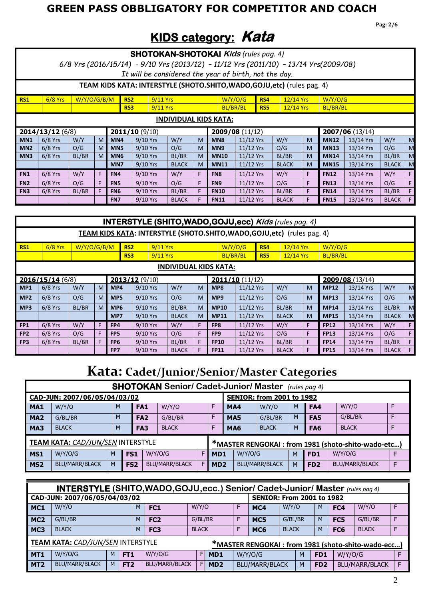## **GREEN PASS OBBLIGATORY FOR COMPETITOR AND COACH**

**Pag: 2/6**

# **KIDS category: Kata**

|                                                                          |                                                                          |             |    |                 |                                                       |            | <b>SHOTOKAN-SHOTOKAI Kids (rules pag. 4)</b> |   |                 |             |            | 6/8 Yrs (2016/15/14) - 9/10 Yrs (2013/12) - 11/12 Yrs (2011/10) - 13/14 Yrs (2009/08) |    |             |           |              |   |
|--------------------------------------------------------------------------|--------------------------------------------------------------------------|-------------|----|-----------------|-------------------------------------------------------|------------|----------------------------------------------|---|-----------------|-------------|------------|---------------------------------------------------------------------------------------|----|-------------|-----------|--------------|---|
|                                                                          |                                                                          |             |    |                 | It will be considered the year of birth, not the day. |            |                                              |   |                 |             |            |                                                                                       |    |             |           |              |   |
|                                                                          | TEAM KIDS KATA: INTERSTYLE (SHOTO.SHITO, WADO, GOJU, etc) (rules pag. 4) |             |    |                 |                                                       |            |                                              |   |                 |             |            |                                                                                       |    |             |           |              |   |
| <b>RS1</b>                                                               | $6/8$ Yrs                                                                | W/Y/O/G/B/M |    |                 | RS <sub>2</sub>                                       | 9/11 Yrs   |                                              |   |                 | W/Y/0/G     | RS4        | 12/14 Yrs                                                                             |    | W/Y/O/G     |           |              |   |
|                                                                          |                                                                          |             |    |                 | RS <sub>3</sub>                                       | $9/11$ Yrs |                                              |   |                 | BL/BR/BL    | <b>RS5</b> | 12/14 Yrs                                                                             |    | BL/BR/BL    |           |              |   |
| <b>INDIVIDUAL KIDS KATA:</b>                                             |                                                                          |             |    |                 |                                                       |            |                                              |   |                 |             |            |                                                                                       |    |             |           |              |   |
|                                                                          | 2014/13/12(6/8)<br>2007/06(13/14)<br>$2011/10$ (9/10)<br>2009/08(11/12)  |             |    |                 |                                                       |            |                                              |   |                 |             |            |                                                                                       |    |             |           |              |   |
| MN <sub>1</sub>                                                          | $6/8$ Yrs                                                                | W/Y         | M  | MN <sub>4</sub> | 9/10 Yrs                                              |            | W/Y                                          | M | MN <sub>8</sub> | $11/12$ Yrs |            | W/Y                                                                                   | M  | <b>MN12</b> | 13/14 Yrs | W/Y          | M |
| MN <sub>2</sub>                                                          | $6/8$ Yrs                                                                | O/G         | M  | MN <sub>5</sub> | 9/10 Yrs                                              |            | O/G                                          | M | MN <sub>9</sub> | 11/12 Yrs   |            | O/G                                                                                   | M  | <b>MN13</b> | 13/14 Yrs | O/G          | M |
| MN <sub>3</sub>                                                          | $6/8$ Yrs                                                                | BL/BR       | M  | MN <sub>6</sub> | 9/10 Yrs                                              |            | BL/BR                                        | M | <b>MN10</b>     | 11/12 Yrs   |            | BL/BR                                                                                 | M  | <b>MN14</b> | 13/14 Yrs | BL/BR        | M |
|                                                                          |                                                                          |             |    | MN7             | 9/10 Yrs                                              |            | <b>BLACK</b>                                 | M | <b>MN11</b>     | 11/12 Yrs   |            | <b>BLACK</b>                                                                          | M  | <b>MN15</b> | 13/14 Yrs | <b>BLACK</b> | M |
| FN <sub>1</sub>                                                          | $6/8$ Yrs                                                                | W/Y         | F. | FN4             | 9/10 Yrs                                              |            | W/Y                                          | F | FN <sub>8</sub> | 11/12 Yrs   |            | W/Y                                                                                   | F. | <b>FN12</b> | 13/14 Yrs | W/Y          | F |
| FN <sub>2</sub>                                                          | $6/8$ Yrs                                                                | O/G         | F. | FN <sub>5</sub> | 9/10 Yrs                                              |            | O/G                                          | F | FN9             | 11/12 Yrs   |            | O/G                                                                                   | F  | <b>FN13</b> | 13/14 Yrs | O/G          | F |
| FN <sub>3</sub>                                                          | $6/8$ Yrs                                                                | BL/BR       | F  | FN <sub>6</sub> | 9/10 Yrs                                              |            | BL/BR                                        | F | <b>FN10</b>     | 11/12 Yrs   |            | BL/BR                                                                                 | F  | <b>FN14</b> | 13/14 Yrs | BL/BR        | F |
|                                                                          |                                                                          |             |    | FN7             | 9/10 Yrs                                              |            | <b>BLACK</b>                                 | F | <b>FN11</b>     | 11/12 Yrs   |            | <b>BLACK</b>                                                                          | F  | <b>FN15</b> | 13/14 Yrs | <b>BLACK</b> | F |
|                                                                          |                                                                          |             |    |                 |                                                       |            |                                              |   |                 |             |            |                                                                                       |    |             |           |              |   |
|                                                                          |                                                                          |             |    |                 |                                                       |            |                                              |   |                 |             |            | <b>INTERSTYLE (SHITO, WADO, GOJU, ecc) Kids (rules pag. 4)</b>                        |    |             |           |              |   |
| TEAM KIDS KATA: INTERSTYLE (SHOTO.SHITO, WADO, GOJU, etc) (rules pag. 4) |                                                                          |             |    |                 |                                                       |            |                                              |   |                 |             |            |                                                                                       |    |             |           |              |   |
| <b>RS1</b>                                                               | $6/8$ Yrs                                                                | W/Y/O/G/B/M |    |                 | RS <sub>2</sub>                                       | $9/11$ Yrs |                                              |   |                 | W/Y/O/G     | RS4        | 12/14 Yrs                                                                             |    | W/Y/O/G     |           |              |   |

|                 |                 |       |   | RS3             | $9/11$ Yrs    |              |    | BL/BR/BL                     |             | R <sub>S5</sub> | $12/14$ Yrs  |    |                | BL/BR/BL  |              |    |  |
|-----------------|-----------------|-------|---|-----------------|---------------|--------------|----|------------------------------|-------------|-----------------|--------------|----|----------------|-----------|--------------|----|--|
|                 |                 |       |   |                 |               |              |    | <b>INDIVIDUAL KIDS KATA:</b> |             |                 |              |    |                |           |              |    |  |
|                 | 2016/15/14(6/8) |       |   |                 | 2013/12(9/10) |              |    | 2011/10(11/12)               |             |                 |              |    | 2009/08(13/14) |           |              |    |  |
| MP <sub>1</sub> | $6/8$ Yrs       | W/Y   | M | MP4             | 9/10 Yrs      | W/Y          | M  | MP8                          | 11/12 Yrs   |                 | W/Y          | M  | <b>MP12</b>    | 13/14 Yrs | W/Y          | M  |  |
| MP <sub>2</sub> | $6/8$ Yrs       | O/G   | M | MP <sub>5</sub> | 9/10 Yrs      | O/G          | M  | MP9                          | 11/12 Yrs   |                 | O/G          | M  | <b>MP13</b>    | 13/14 Yrs | O/G          | M  |  |
| MP3             | $6/8$ Yrs       | BL/BR | M | MP <sub>6</sub> | 9/10 Yrs      | BL/BR        | M  | <b>MP10</b>                  | 11/12 Yrs   |                 | BL/BR        | M  | <b>MP14</b>    | 13/14 Yrs | BL/BR        | M  |  |
|                 |                 |       |   | MP7             | $9/10$ Yrs    | <b>BLACK</b> | M  | <b>MP11</b>                  | 11/12 Yrs   |                 | <b>BLACK</b> | M  | <b>MP15</b>    | 13/14 Yrs | <b>BLACK</b> | M  |  |
| FP <sub>1</sub> | $6/8$ Yrs       | W/Y   |   | FP4             | 9/10 Yrs      | W/Y          | F. | FP8                          | 11/12 Yrs   |                 | W/Y          | F. | <b>FP12</b>    | 13/14 Yrs | W/Y          | F. |  |
| FP <sub>2</sub> | $6/8$ Yrs       | O/G   |   | FP <sub>5</sub> | $9/10$ Yrs    | O/G          | F  | FP <sub>9</sub>              | $11/12$ Yrs |                 | O/G          | F. | <b>FP13</b>    | 13/14 Yrs | O/G          | F  |  |
| FP <sub>3</sub> | $6/8$ Yrs       | BL/BR |   | FP <sub>6</sub> | 9/10 Yrs      | BL/BR        | F  | <b>FP10</b>                  | $11/12$ Yrs |                 | BL/BR        | F. | <b>FP14</b>    | 13/14 Yrs | BL/BR        | F  |  |
|                 |                 |       |   | FP7             | $9/10$ Yrs    | <b>BLACK</b> | F  | <b>FP11</b>                  | 11/12 Yrs   |                 | <b>BLACK</b> | F. | <b>FP15</b>    | 13/14 Yrs | <b>BLACK</b> | F. |  |

# **Kata: Cadet/Junior/Senior/Master Categories**

|                 |                                   |   |                 |            | <b>SHOTOKAN Senior/ Cadet-Junior/ Master</b> (rules pag 4) |   |                            |                                  |  |              |   |                 |                                                    |    |
|-----------------|-----------------------------------|---|-----------------|------------|------------------------------------------------------------|---|----------------------------|----------------------------------|--|--------------|---|-----------------|----------------------------------------------------|----|
|                 | CAD-JUN: 2007/06/05/04/03/02      |   |                 |            |                                                            |   |                            | <b>SENIOR: from 2001 to 1982</b> |  |              |   |                 |                                                    |    |
| MA <sub>1</sub> | W/Y/O                             | M |                 | <b>FA1</b> | W/Y/O                                                      |   | F                          | MA4                              |  | W/Y/O        | M | <b>FA4</b>      | W/Y/O                                              |    |
| MA <sub>2</sub> | G/BL/BR                           | M | FA <sub>2</sub> |            | G/BL/BR                                                    |   | F                          | MA <sub>5</sub>                  |  | G/BL/BR      | M | FA <sub>5</sub> | G/BL/BR                                            |    |
| MA3             | <b>BLACK</b>                      | M | FA <sub>3</sub> |            | <b>BLACK</b>                                               |   |                            | MA <sub>6</sub>                  |  | <b>BLACK</b> | M | <b>FA6</b>      | <b>BLACK</b>                                       |    |
|                 | TEAM KATA: CAD/JUN/SEN INTERSTYLE |   |                 |            |                                                            |   |                            |                                  |  |              |   |                 | *MASTER RENGOKAI: from 1981 (shoto-shito-wado-etc) |    |
| MS1             | W/Y/O/G                           | M | FS <sub>1</sub> |            | W/Y/O/G                                                    | F | W/Y/O/G<br>MD <sub>1</sub> |                                  |  |              | M | FD1             | W/Y/O/G                                            | F. |
| MS <sub>2</sub> | <b>BLU/MARR/BLACK</b>             | M | FS <sub>2</sub> |            | <b>BLU/MARR/BLACK</b>                                      | F | MD <sub>2</sub>            | <b>BLU/MARR/BLACK</b>            |  |              | M | FD <sub>2</sub> | <b>BLU/MARR/BLACK</b>                              | F. |

|                 | <b>INTERSTYLE (SHITO, WADO, GOJU, ecc.) Senior/ Cadet-Junior/ Master (rules pag 4)</b> |   |                 |                                      |         |                 |   |                       |              |                                               |                 |                                                    |   |
|-----------------|----------------------------------------------------------------------------------------|---|-----------------|--------------------------------------|---------|-----------------|---|-----------------------|--------------|-----------------------------------------------|-----------------|----------------------------------------------------|---|
|                 | CAD-JUN: 2007/06/05/04/03/02                                                           |   |                 | <b>SENIOR: From 2001 to 1982</b>     |         |                 |   |                       |              |                                               |                 |                                                    |   |
| MC <sub>1</sub> | W/Y/O                                                                                  |   |                 | FC <sub>1</sub>                      | W/Y/O   |                 | F | MC4                   | W/Y/O        | M                                             | FC4             | W/Y/O                                              | F |
| MC <sub>2</sub> | G/BL/BR                                                                                |   |                 | FC <sub>2</sub>                      | G/BL/BR |                 | F | MC <sub>5</sub>       | G/BL/BR      | M                                             | FC <sub>5</sub> | G/BL/BR                                            | F |
| MC <sub>3</sub> | <b>BLACK</b>                                                                           |   |                 | <b>BLACK</b><br>FC <sub>3</sub><br>M |         |                 | F | MC <sub>6</sub>       | <b>BLACK</b> | M                                             | FC <sub>6</sub> | <b>BLACK</b>                                       | F |
|                 | TEAM KATA: CAD/JUN/SEN INTERSTYLE                                                      |   |                 |                                      |         |                 |   |                       |              |                                               |                 | *MASTER RENGOKAI: from 1981 (shoto-shito-wado-ecc) |   |
| MT <sub>1</sub> | W/Y/O/G                                                                                | M | FT <sub>1</sub> | W/Y/O/G                              | F.      | MD <sub>1</sub> |   | W/Y/O/G               | M            | FD <sub>1</sub>                               | W/Y/O/G         |                                                    |   |
| MT <sub>2</sub> | <b>BLU/MARR/BLACK</b>                                                                  | м | FT <sub>2</sub> | <b>BLU/MARR/BLACK</b>                | E       | MD <sub>2</sub> |   | <b>BLU/MARR/BLACK</b> |              | FD <sub>2</sub><br><b>BLU/MARR/BLACK</b><br>M |                 |                                                    |   |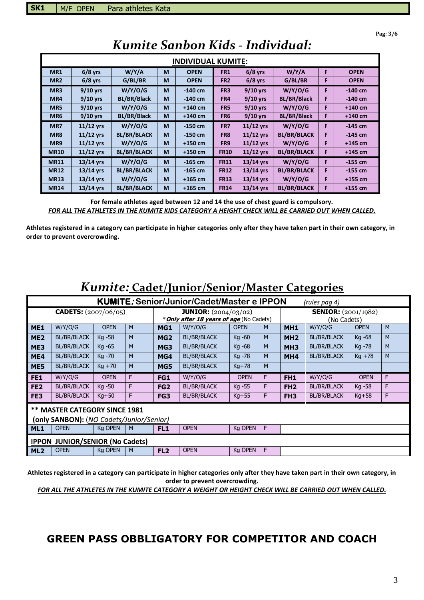**Pag: 3/6**

|                 |             |                    |   | <b>INDIVIDUAL KUMITE:</b> |                 |             |                    |   |             |
|-----------------|-------------|--------------------|---|---------------------------|-----------------|-------------|--------------------|---|-------------|
| MR <sub>1</sub> | $6/8$ yrs   | W/Y/A              | M | <b>OPEN</b>               | <b>FR1</b>      | $6/8$ yrs   | W/Y/A              | F | <b>OPEN</b> |
| MR <sub>2</sub> | $6/8$ yrs   | G/BL/BR            | М | <b>OPEN</b>               | FR <sub>2</sub> | $6/8$ yrs   | G/BL/BR            | F | <b>OPEN</b> |
| MR <sub>3</sub> | $9/10$ yrs  | W/Y/O/G            | M | $-140$ cm                 | FR <sub>3</sub> | 9/10 yrs    | W/Y/O/G            | F | $-140$ cm   |
| MR4             | $9/10$ yrs  | <b>BL/BR/Black</b> | M | $-140$ cm                 | FR4             | $9/10$ yrs  | <b>BL/BR/Black</b> | F | $-140$ cm   |
| MR5             | $9/10$ yrs  | W/Y/O/G            | М | $+140$ cm                 | FR <sub>5</sub> | $9/10$ yrs  | W/Y/O/G            | F | $+140$ cm   |
| MR <sub>6</sub> | $9/10$ yrs  | <b>BL/BR/Black</b> | M | $+140$ cm                 | FR <sub>6</sub> | $9/10$ yrs  | <b>BL/BR/Black</b> | F | $+140$ cm   |
| MR7             | $11/12$ yrs | W/Y/O/G            | М | $-150$ cm                 | FR7             | $11/12$ yrs | W/Y/O/G            | F | $-145$ cm   |
| MR8             | $11/12$ yrs | <b>BL/BR/BLACK</b> | M | $-150$ cm                 | FR8             | $11/12$ yrs | <b>BL/BR/BLACK</b> | F | $-145$ cm   |
| MR9             | $11/12$ yrs | W/Y/O/G            | М | $+150$ cm                 | FR <sub>9</sub> | $11/12$ yrs | W/Y/O/G            | F | $+145$ cm   |
| <b>MR10</b>     | $11/12$ yrs | <b>BL/BR/BLACK</b> | M | $+150$ cm                 | <b>FR10</b>     | $11/12$ yrs | <b>BL/BR/BLACK</b> | F | $+145$ cm   |
| <b>MR11</b>     | 13/14 yrs   | W/Y/O/G            | М | $-165$ cm                 | <b>FR11</b>     | $13/14$ yrs | W/Y/O/G            | F | $-155$ cm   |
| <b>MR12</b>     | $13/14$ yrs | <b>BL/BR/BLACK</b> | M | $-165$ cm                 | <b>FR12</b>     | $13/14$ yrs | <b>BL/BR/BLACK</b> | F | $-155$ cm   |
| <b>MR13</b>     | $13/14$ yrs | W/Y/O/G            | M | $+165$ cm                 | <b>FR13</b>     | $13/14$ yrs | W/Y/O/G            | F | $+155$ cm   |
| <b>MR14</b>     | $13/14$ yrs | <b>BL/BR/BLACK</b> | M | $+165$ cm                 | <b>FR14</b>     | $13/14$ yrs | <b>BL/BR/BLACK</b> | F | $+155$ cm   |

# *Kumite Sanbon Kids - Individual:*

**For female athletes aged between 12 and 14 the use of chest guard is compulsory.**  *FOR ALL THE ATHLETES IN THE KUMITE KIDS CATEGORY A HEIGHT CHECK WILL BE CARRIED OUT WHEN CALLED.* 

**Athletes registered in a category can participate in higher categories only after they have taken part in their own category, in order to prevent overcrowding.**

|                 |                                          |                |   |                 | <i>Rumne:</i> Cadel/Junior/Senior/Master Categories |                |             |                            |                    |             |   |
|-----------------|------------------------------------------|----------------|---|-----------------|-----------------------------------------------------|----------------|-------------|----------------------------|--------------------|-------------|---|
|                 |                                          |                |   |                 | <b>KUMITE: Senior/Junior/Cadet/Master e IPPON</b>   |                |             |                            | (rules pag 4)      |             |   |
|                 | <b>CADETS:</b> $(2007/06/05)$            |                |   |                 | <b>JUNIOR:</b> $(2004/03/02)$                       |                |             | <b>SENIOR:</b> (2001/1982) |                    |             |   |
|                 |                                          |                |   |                 | * <b>Only after 18 years of age</b> (No Cadets)     |                | (No Cadets) |                            |                    |             |   |
| <b>ME1</b>      | W/Y/O/G                                  | <b>OPEN</b>    | M | MG1             | W/Y/O/G                                             | <b>OPEN</b>    | M           | <b>MH1</b>                 | W/Y/O/G            | <b>OPEN</b> | M |
| ME <sub>2</sub> | <b>BL/BR/BLACK</b>                       | Kg -58         | M | MG <sub>2</sub> | <b>BL/BR/BLACK</b>                                  | Kg -60         | M           | MH <sub>2</sub>            | <b>BL/BR/BLACK</b> | Kg -68      | M |
| ME3             | <b>BL/BR/BLACK</b>                       | Kg -65         | M | MG3             | <b>BL/BR/BLACK</b>                                  | Kg -68         | M           | MH <sub>3</sub>            | <b>BL/BR/BLACK</b> | Kg -78      | M |
| ME4             | <b>BL/BR/BLACK</b>                       | Kg -70         | M | MG4             | <b>BL/BR/BLACK</b>                                  | Kg -78         | M           | MH <sub>4</sub>            | <b>BL/BR/BLACK</b> | $Kq + 78$   | M |
| <b>ME5</b>      | <b>BL/BR/BLACK</b>                       | $Kq + 70$      | M | MG5             | <b>BL/BR/BLACK</b>                                  | $Kq+78$        | M           |                            |                    |             |   |
| FE1             | W/Y/O/G                                  | <b>OPEN</b>    | F | FG1             | W/Y/O/G                                             | <b>OPEN</b>    | F           | FH <sub>1</sub>            | W/Y/O/G            | <b>OPEN</b> | F |
| FE <sub>2</sub> | <b>BL/BR/BLACK</b>                       | Kg -50         | F | FG <sub>2</sub> | <b>BL/BR/BLACK</b>                                  | Kg -55         | F           | FH <sub>2</sub>            | <b>BL/BR/BLACK</b> | Kg -58      | F |
| FE3             | <b>BL/BR/BLACK</b>                       | $Kq+50$        | F | FG3             | <b>BL/BR/BLACK</b>                                  | $Kq+55$        | F           | FH <sub>3</sub>            | <b>BL/BR/BLACK</b> | $Kg+58$     | F |
|                 | <b>** MASTER CATEGORY SINCE 1981</b>     |                |   |                 |                                                     |                |             |                            |                    |             |   |
|                 | (only SANBON): (NO Cadets/Junior/Senior) |                |   |                 |                                                     |                |             |                            |                    |             |   |
| ML1             | <b>OPEN</b>                              | Kg OPEN        | M | FL <sub>1</sub> | <b>OPEN</b>                                         | Kg OPEN        | F           |                            |                    |             |   |
| <b>IPPON</b>    | <b>JUNIOR/SENIOR (No Cadets)</b>         |                |   |                 |                                                     |                |             |                            |                    |             |   |
| ML <sub>2</sub> | <b>OPEN</b>                              | <b>Kg OPEN</b> | M | FL <sub>2</sub> | <b>OPEN</b>                                         | <b>Kg OPEN</b> | F           |                            |                    |             |   |

# *Kumite:* **Cadet/Junior/Senior/Master Categories**

**Athletes registered in a category can participate in higher categories only after they have taken part in their own category, in order to prevent overcrowding.**

*FOR ALL THE ATHLETES IN THE KUMITE CATEGORY A WEIGHT OR HEIGHT CHECK WILL BE CARRIED OUT WHEN CALLED.* 

### **GREEN PASS OBBLIGATORY FOR COMPETITOR AND COACH**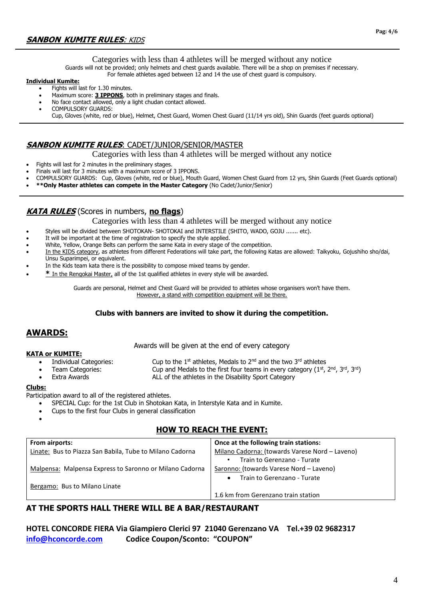Categories with less than 4 athletes will be merged without any notice

Guards will not be provided; only helmets and chest guards available. There will be a shop on premises if necessary.

#### For female athletes aged between 12 and 14 the use of chest guard is compulsory.

#### **Individual Kumite:**

- Fights will last for 1.30 minutes.
- Maximum score: **3 IPPONS**, both in preliminary stages and finals.
- No face contact allowed, only a light chudan contact allowed.
- COMPULSORY GUARDS:

Cup, Gloves (white, red or blue), Helmet, Chest Guard, Women Chest Guard (11/14 yrs old), Shin Guards (feet guards optional)

#### **SANBON KUMITE RULES**: CADET/JUNIOR/SENIOR/MASTER

Categories with less than 4 athletes will be merged without any notice

- Fights will last for 2 minutes in the preliminary stages.
- Finals will last for 3 minutes with a maximum score of 3 IPPONS.
- COMPULSORY GUARDS: Cup, Gloves (white, red or blue), Mouth Guard, Women Chest Guard from 12 yrs, Shin Guards (Feet Guards optional)
- **\*\*Only Master athletes can compete in the Master Category** (No Cadet/Junior/Senior)

### **KATA RULES** (Scores in numbers, **no flags**)

Categories with less than 4 athletes will be merged without any notice

- Styles will be divided between SHOTOKAN- SHOTOKAI and INTERSTILE (SHITO, WADO, GOJU ....... etc).
- It will be important at the time of registration to specify the style applied.
- White, Yellow, Orange Belts can perform the same Kata in every stage of the competition.
- In the KIDS category, as athletes from different Federations will take part, the following Katas are allowed: Taikyoku, Gojushiho sho/dai, Unsu Suparimpei, or equivalent.
- In the Kids team kata there is the possibility to compose mixed teams by gender.
- **\*** In the Rengokai Master, all of the 1st qualified athletes in every style will be awarded.

Guards are personal, Helmet and Chest Guard will be provided to athletes whose organisers won't have them. However, a stand with competition equipment will be there.

#### **Clubs with banners are invited to show it during the competition.**

### **AWARDS:**

Awards will be given at the end of every category

#### **KATA or KUMITE:**

- Individual Categories: Cup to the 1<sup>st</sup> athletes, Medals to  $2^{nd}$  and the two 3<sup>rd</sup> athletes
- 
- Team Categories: Cup and Medals to the first four teams in every category ( $1<sup>st</sup>$ ,  $2<sup>nd</sup>$ ,  $3<sup>rd</sup>$ ),  $3<sup>rd</sup>$
- Extra Awards **ALL of the athletes in the Disability Sport Category**

#### **Clubs:**

•

Participation award to all of the registered athletes.

- SPECIAL Cup: for the 1st Club in Shotokan Kata, in Interstyle Kata and in Kumite.
- Cups to the first four Clubs in general classification

### **HOW TO REACH THE EVENT:**

| From airports:                                           | Once at the following train stations:          |
|----------------------------------------------------------|------------------------------------------------|
| Linate: Bus to Piazza San Babila, Tube to Milano Cadorna | Milano Cadorna: (towards Varese Nord - Laveno) |
|                                                          | Train to Gerenzano - Turate                    |
| Malpensa: Malpensa Express to Saronno or Milano Cadorna  | Saronno: (towards Varese Nord – Laveno)        |
|                                                          | Train to Gerenzano - Turate<br>$\bullet$       |
| Bergamo: Bus to Milano Linate                            |                                                |
|                                                          | 1.6 km from Gerenzano train station            |

### **AT THE SPORTS HALL THERE WILL BE A BAR/RESTAURANT**

**HOTEL CONCORDE FIERA Via Giampiero Clerici 97 21040 Gerenzano VA Tel.+39 02 9682317 [info@hconcorde.com](mailto:info@hconcorde.com) Codice Coupon/Sconto: "COUPON"**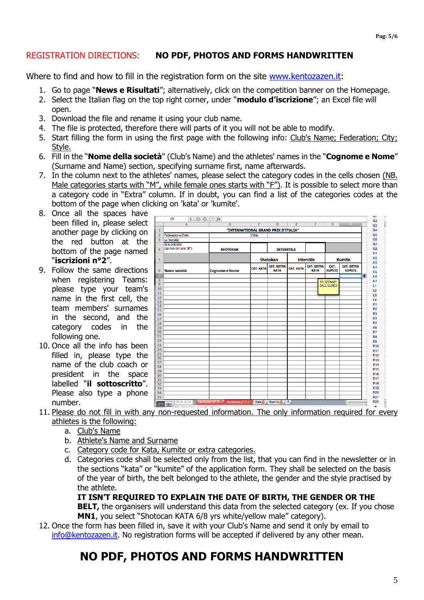### REGISTRATION DIRECTIONS: **NO PDF, PHOTOS AND FORMS HANDWRITTEN**

Where to find and how to fill in the registration form on the site [www.kentozazen.it:](http://www.kentozazen.it/)

- 1. Go to page "**News e Risultati**"; alternatively, click on the competition banner on the Homepage.
- 2. Select the Italian flag on the top right corner, under "**modulo d'iscrizione**"; an Excel file will open.
- 3. Download the file and rename it using your club name.
- 4. The file is protected, therefore there will parts of it you will not be able to modify.
- 5. Start filling the form in using the first page with the following info: Club's Name; Federation; City; Style.
- 6. Fill in the "**Nome della società**" (Club's Name) and the athletes' names in the "**Cognome e Nome**" (Surname and Name) section, specifying surname first, name afterwards.
- 7. In the column next to the athletes' names, please select the category codes in the cells chosen (NB. Male categories starts with "M", while female ones starts with "F"). It is possible to select more than a category code in "Extra" column. If in doubt, you can find a list of the categories codes at the bottom of the page when clicking on 'kata' or 'kumite'.
- 8. Once all the spaces have been filled in, please select another page by clicking on the red button at the bottom of the page named "**iscrizioni n°2**".
- 9. Follow the same directions when registering Teams: please type your team's name in the first cell, the team members' surnames in the second, and the category codes in the following one.
- 10. Once all the info has been filled in, please type the name of the club coach or president in the space labelled "**il sottoscritto**". Please also type a phone number.

| $\mathsf{A}$<br>Federazione/Ente:<br>La Società:<br>Stile praticato<br>(barrare con una "X") | $\overline{B}$        | $\overline{c}$<br>"INTERNATIONAL GRAND PRIX D'ITALIA"<br>Città: | $\overline{D}$                                | $\overline{E}$      | F                                | $\overline{G}$        | H                                  | G <sub>3</sub>                   |
|----------------------------------------------------------------------------------------------|-----------------------|-----------------------------------------------------------------|-----------------------------------------------|---------------------|----------------------------------|-----------------------|------------------------------------|----------------------------------|
|                                                                                              |                       |                                                                 |                                               |                     |                                  |                       |                                    |                                  |
|                                                                                              |                       |                                                                 |                                               |                     |                                  |                       |                                    | G4<br>G <sub>5</sub>             |
|                                                                                              |                       |                                                                 |                                               |                     |                                  |                       |                                    | G <sub>6</sub>                   |
|                                                                                              |                       |                                                                 |                                               |                     |                                  |                       |                                    | G7                               |
|                                                                                              |                       |                                                                 |                                               |                     |                                  |                       |                                    |                                  |
|                                                                                              | <b>SHOTOKAN</b>       |                                                                 | <b>INTERSTILE</b>                             |                     |                                  |                       |                                    | G <sub>8</sub>                   |
|                                                                                              |                       |                                                                 |                                               |                     |                                  |                       |                                    | <b>H1</b><br>H <sub>2</sub>      |
|                                                                                              |                       | Shotokan                                                        |                                               |                     | <b>Interstile</b>                |                       | <b>Kumite</b>                      | H <sub>3</sub>                   |
| Nome società                                                                                 | <b>Cognome e Nome</b> | <b>CAT. KATA</b>                                                | <b>CAT. EXTRA</b><br><b>KATA</b>              | <b>CAT. KATA</b>    | <b>CAT. EXTRA</b><br><b>KATA</b> | CAT.<br><b>KUMITE</b> | <b>CAT. EXTRA</b><br><b>KUMITE</b> | H <sub>4</sub><br>H <sub>5</sub> |
|                                                                                              |                       |                                                                 |                                               |                     |                                  |                       |                                    | $\triangleq$<br>H <sub>6</sub>   |
|                                                                                              |                       |                                                                 |                                               |                     |                                  |                       |                                    | H7                               |
|                                                                                              |                       |                                                                 |                                               |                     |                                  |                       |                                    | L1                               |
|                                                                                              |                       |                                                                 |                                               |                     |                                  |                       |                                    | L2                               |
|                                                                                              |                       |                                                                 |                                               |                     |                                  |                       |                                    | L <sub>3</sub>                   |
|                                                                                              |                       |                                                                 |                                               |                     |                                  |                       |                                    | L4                               |
|                                                                                              |                       |                                                                 |                                               |                     |                                  |                       |                                    | <b>R1</b>                        |
|                                                                                              |                       |                                                                 |                                               |                     |                                  |                       |                                    | R <sub>2</sub>                   |
|                                                                                              |                       |                                                                 |                                               |                     |                                  |                       |                                    | R <sub>3</sub>                   |
|                                                                                              |                       |                                                                 |                                               |                     |                                  |                       |                                    | <b>R4</b>                        |
|                                                                                              |                       |                                                                 |                                               |                     |                                  |                       |                                    | R <sub>5</sub>                   |
|                                                                                              |                       |                                                                 |                                               |                     |                                  |                       |                                    | <b>R6</b>                        |
|                                                                                              |                       |                                                                 |                                               |                     |                                  |                       |                                    | R7                               |
|                                                                                              |                       |                                                                 |                                               |                     |                                  |                       |                                    | R <sub>8</sub>                   |
|                                                                                              |                       |                                                                 |                                               |                     |                                  |                       |                                    | R <sub>9</sub>                   |
|                                                                                              |                       |                                                                 |                                               |                     |                                  |                       |                                    | R <sub>10</sub>                  |
|                                                                                              |                       |                                                                 |                                               |                     |                                  |                       |                                    | R <sub>11</sub>                  |
|                                                                                              |                       |                                                                 |                                               |                     |                                  |                       |                                    | R <sub>12</sub>                  |
|                                                                                              |                       |                                                                 |                                               |                     |                                  |                       |                                    | <b>R13</b>                       |
|                                                                                              |                       |                                                                 |                                               |                     |                                  |                       |                                    | <b>R14</b>                       |
|                                                                                              |                       |                                                                 |                                               |                     |                                  |                       |                                    | <b>R15</b>                       |
|                                                                                              |                       |                                                                 |                                               |                     |                                  |                       |                                    | R <sub>16</sub>                  |
|                                                                                              |                       |                                                                 |                                               |                     |                                  |                       |                                    | <b>R17</b>                       |
|                                                                                              |                       |                                                                 |                                               |                     |                                  |                       |                                    | <b>R18</b>                       |
|                                                                                              |                       |                                                                 |                                               |                     |                                  |                       |                                    | R <sub>19</sub>                  |
|                                                                                              |                       |                                                                 |                                               |                     |                                  |                       |                                    | <b>R20</b><br>R <sub>21</sub>    |
|                                                                                              | $+4 + + +$<br>圓圓      | iscrizioni nº 1 <sup>e</sup>                                    | iscrizioni nº 2 <sup>2</sup><br>Kata $\oplus$ | Kumite <sup>2</sup> | $+$                              |                       | SELEZIONARE<br>DALL'ELENCO         |                                  |

- 11. Please do not fill in with any non-requested information. The only information required for every athletes is the following:
	- a. Club's Name
	- b. Athlete's Name and Surname
	- c. Category code for Kata, Kumite or extra categories.
	- d. Categories code shall be selected only from the list, that you can find in the newsletter or in the sections "kata" or "kumite" of the application form. They shall be selected on the basis of the year of birth, the belt belonged to the athlete, the gender and the style practised by the athlete.

**IT ISN'T REQUIRED TO EXPLAIN THE DATE OF BIRTH, THE GENDER OR THE** 

**BELT,** the organisers will understand this data from the selected category (ex. If you chose **MN1**, you select "Shotocan KATA 6/8 yrs white/yellow male" category).

12. Once the form has been filled in, save it with your Club's Name and send it only by email to [info@kentozazen.it.](mailto:info@kentozazen.it) No registration forms will be accepted if delivered by any other mean.

## **NO PDF, PHOTOS AND FORMS HANDWRITTEN**